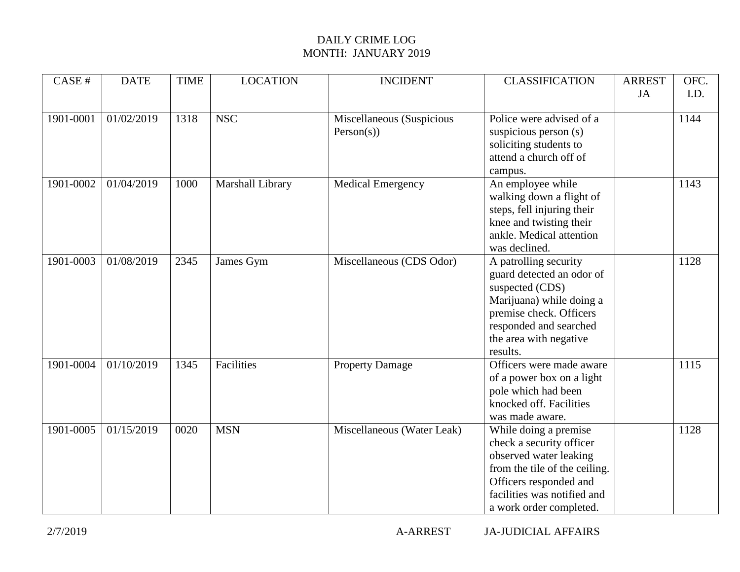| CASE #    | <b>DATE</b> | <b>TIME</b> | <b>LOCATION</b>  | <b>INCIDENT</b>                        | <b>CLASSIFICATION</b>                                                                                                                                                                            | <b>ARREST</b> | OFC. |
|-----------|-------------|-------------|------------------|----------------------------------------|--------------------------------------------------------------------------------------------------------------------------------------------------------------------------------------------------|---------------|------|
|           |             |             |                  |                                        |                                                                                                                                                                                                  | JA            | I.D. |
| 1901-0001 | 01/02/2019  | 1318        | <b>NSC</b>       | Miscellaneous (Suspicious<br>Person(s) | Police were advised of a<br>suspicious person (s)<br>soliciting students to                                                                                                                      |               | 1144 |
|           |             |             |                  |                                        | attend a church off of<br>campus.                                                                                                                                                                |               |      |
| 1901-0002 | 01/04/2019  | 1000        | Marshall Library | <b>Medical Emergency</b>               | An employee while<br>walking down a flight of<br>steps, fell injuring their<br>knee and twisting their<br>ankle. Medical attention<br>was declined.                                              |               | 1143 |
| 1901-0003 | 01/08/2019  | 2345        | James Gym        | Miscellaneous (CDS Odor)               | A patrolling security<br>guard detected an odor of<br>suspected (CDS)<br>Marijuana) while doing a<br>premise check. Officers<br>responded and searched<br>the area with negative<br>results.     |               | 1128 |
| 1901-0004 | 01/10/2019  | 1345        | Facilities       | <b>Property Damage</b>                 | Officers were made aware<br>of a power box on a light<br>pole which had been<br>knocked off. Facilities<br>was made aware.                                                                       |               | 1115 |
| 1901-0005 | 01/15/2019  | 0020        | <b>MSN</b>       | Miscellaneous (Water Leak)             | While doing a premise<br>check a security officer<br>observed water leaking<br>from the tile of the ceiling.<br>Officers responded and<br>facilities was notified and<br>a work order completed. |               | 1128 |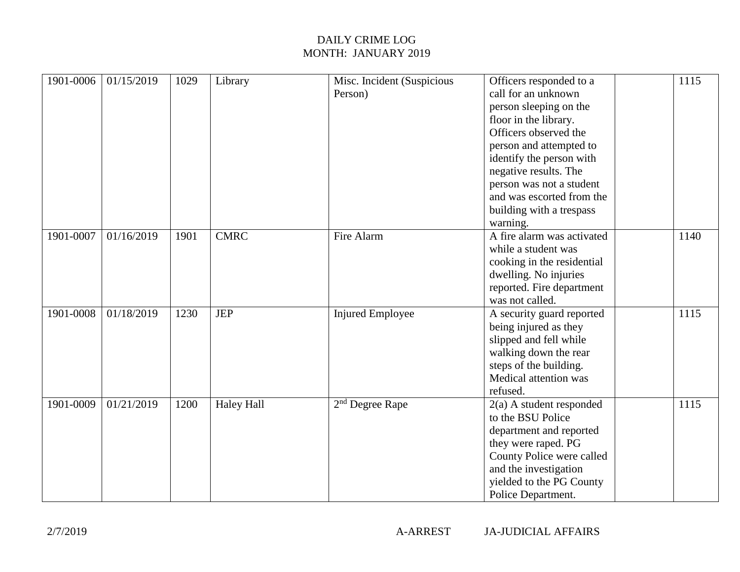| 1901-0006 | 01/15/2019 | 1029 | Library           | Misc. Incident (Suspicious | Officers responded to a    | 1115 |
|-----------|------------|------|-------------------|----------------------------|----------------------------|------|
|           |            |      |                   | Person)                    | call for an unknown        |      |
|           |            |      |                   |                            | person sleeping on the     |      |
|           |            |      |                   |                            | floor in the library.      |      |
|           |            |      |                   |                            | Officers observed the      |      |
|           |            |      |                   |                            | person and attempted to    |      |
|           |            |      |                   |                            | identify the person with   |      |
|           |            |      |                   |                            | negative results. The      |      |
|           |            |      |                   |                            | person was not a student   |      |
|           |            |      |                   |                            | and was escorted from the  |      |
|           |            |      |                   |                            | building with a trespass   |      |
|           |            |      |                   |                            | warning.                   |      |
| 1901-0007 | 01/16/2019 | 1901 | <b>CMRC</b>       | Fire Alarm                 | A fire alarm was activated | 1140 |
|           |            |      |                   |                            | while a student was        |      |
|           |            |      |                   |                            | cooking in the residential |      |
|           |            |      |                   |                            | dwelling. No injuries      |      |
|           |            |      |                   |                            | reported. Fire department  |      |
|           |            |      |                   |                            | was not called.            |      |
| 1901-0008 | 01/18/2019 | 1230 | <b>JEP</b>        | <b>Injured Employee</b>    | A security guard reported  | 1115 |
|           |            |      |                   |                            | being injured as they      |      |
|           |            |      |                   |                            | slipped and fell while     |      |
|           |            |      |                   |                            | walking down the rear      |      |
|           |            |      |                   |                            | steps of the building.     |      |
|           |            |      |                   |                            | Medical attention was      |      |
|           |            |      |                   |                            | refused.                   |      |
| 1901-0009 | 01/21/2019 | 1200 | <b>Haley Hall</b> | $2nd$ Degree Rape          | $2(a)$ A student responded | 1115 |
|           |            |      |                   |                            | to the BSU Police          |      |
|           |            |      |                   |                            | department and reported    |      |
|           |            |      |                   |                            | they were raped. PG        |      |
|           |            |      |                   |                            | County Police were called  |      |
|           |            |      |                   |                            | and the investigation      |      |
|           |            |      |                   |                            | yielded to the PG County   |      |
|           |            |      |                   |                            | Police Department.         |      |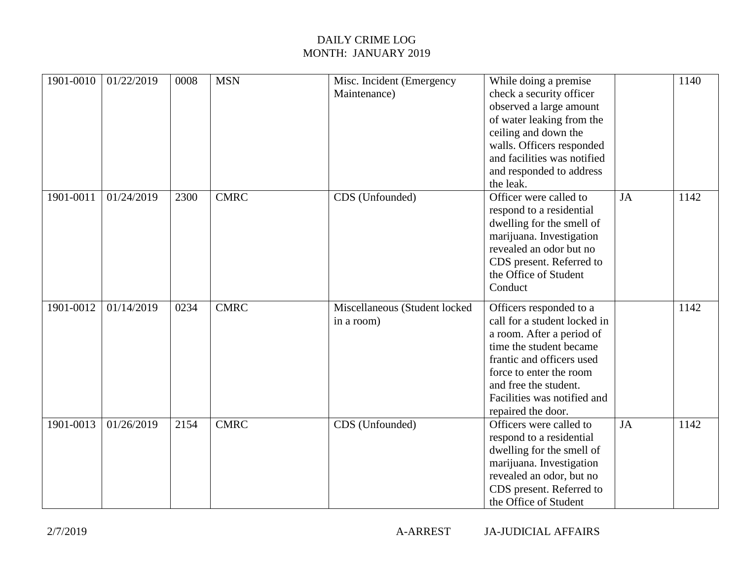| 1901-0010 | 01/22/2019 | 0008 | <b>MSN</b>  | Misc. Incident (Emergency     | While doing a premise        |           | 1140 |
|-----------|------------|------|-------------|-------------------------------|------------------------------|-----------|------|
|           |            |      |             | Maintenance)                  | check a security officer     |           |      |
|           |            |      |             |                               | observed a large amount      |           |      |
|           |            |      |             |                               | of water leaking from the    |           |      |
|           |            |      |             |                               | ceiling and down the         |           |      |
|           |            |      |             |                               | walls. Officers responded    |           |      |
|           |            |      |             |                               | and facilities was notified  |           |      |
|           |            |      |             |                               | and responded to address     |           |      |
|           |            |      |             |                               | the leak.                    |           |      |
| 1901-0011 | 01/24/2019 | 2300 | <b>CMRC</b> | CDS (Unfounded)               | Officer were called to       | JA        | 1142 |
|           |            |      |             |                               | respond to a residential     |           |      |
|           |            |      |             |                               | dwelling for the smell of    |           |      |
|           |            |      |             |                               | marijuana. Investigation     |           |      |
|           |            |      |             |                               | revealed an odor but no      |           |      |
|           |            |      |             |                               | CDS present. Referred to     |           |      |
|           |            |      |             |                               | the Office of Student        |           |      |
|           |            |      |             |                               | Conduct                      |           |      |
| 1901-0012 | 01/14/2019 | 0234 | <b>CMRC</b> | Miscellaneous (Student locked | Officers responded to a      |           | 1142 |
|           |            |      |             | in a room)                    | call for a student locked in |           |      |
|           |            |      |             |                               | a room. After a period of    |           |      |
|           |            |      |             |                               | time the student became      |           |      |
|           |            |      |             |                               | frantic and officers used    |           |      |
|           |            |      |             |                               | force to enter the room      |           |      |
|           |            |      |             |                               | and free the student.        |           |      |
|           |            |      |             |                               | Facilities was notified and  |           |      |
|           |            |      |             |                               | repaired the door.           |           |      |
| 1901-0013 | 01/26/2019 | 2154 | <b>CMRC</b> | CDS (Unfounded)               | Officers were called to      | <b>JA</b> | 1142 |
|           |            |      |             |                               | respond to a residential     |           |      |
|           |            |      |             |                               | dwelling for the smell of    |           |      |
|           |            |      |             |                               | marijuana. Investigation     |           |      |
|           |            |      |             |                               | revealed an odor, but no     |           |      |
|           |            |      |             |                               | CDS present. Referred to     |           |      |
|           |            |      |             |                               | the Office of Student        |           |      |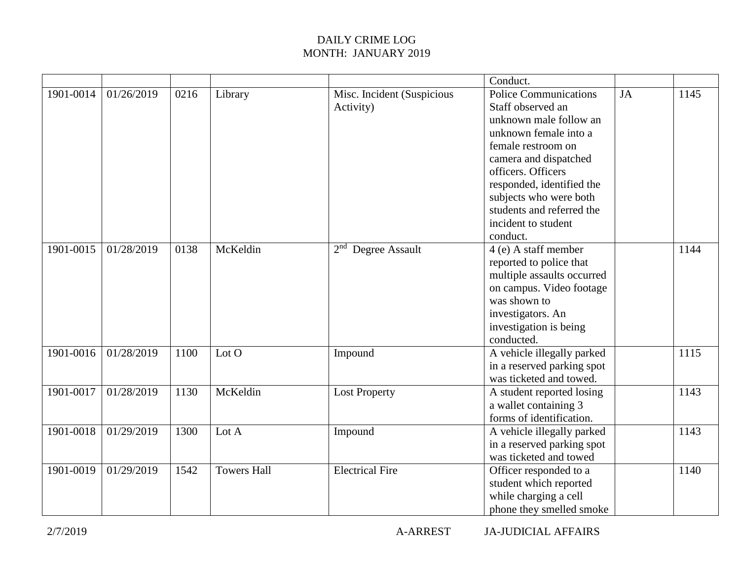|           |            |      |                    |                                         | Conduct.                                                                                                                                                                                                                                                                                         |           |      |
|-----------|------------|------|--------------------|-----------------------------------------|--------------------------------------------------------------------------------------------------------------------------------------------------------------------------------------------------------------------------------------------------------------------------------------------------|-----------|------|
| 1901-0014 | 01/26/2019 | 0216 | Library            | Misc. Incident (Suspicious<br>Activity) | <b>Police Communications</b><br>Staff observed an<br>unknown male follow an<br>unknown female into a<br>female restroom on<br>camera and dispatched<br>officers. Officers<br>responded, identified the<br>subjects who were both<br>students and referred the<br>incident to student<br>conduct. | <b>JA</b> | 1145 |
| 1901-0015 | 01/28/2019 | 0138 | McKeldin           | $2nd$ Degree Assault                    | 4 (e) A staff member<br>reported to police that<br>multiple assaults occurred<br>on campus. Video footage<br>was shown to<br>investigators. An<br>investigation is being<br>conducted.                                                                                                           |           | 1144 |
| 1901-0016 | 01/28/2019 | 1100 | Lot O              | Impound                                 | A vehicle illegally parked<br>in a reserved parking spot<br>was ticketed and towed.                                                                                                                                                                                                              |           | 1115 |
| 1901-0017 | 01/28/2019 | 1130 | McKeldin           | <b>Lost Property</b>                    | A student reported losing<br>a wallet containing 3<br>forms of identification.                                                                                                                                                                                                                   |           | 1143 |
| 1901-0018 | 01/29/2019 | 1300 | Lot A              | Impound                                 | A vehicle illegally parked<br>in a reserved parking spot<br>was ticketed and towed                                                                                                                                                                                                               |           | 1143 |
| 1901-0019 | 01/29/2019 | 1542 | <b>Towers Hall</b> | <b>Electrical Fire</b>                  | Officer responded to a<br>student which reported<br>while charging a cell<br>phone they smelled smoke                                                                                                                                                                                            |           | 1140 |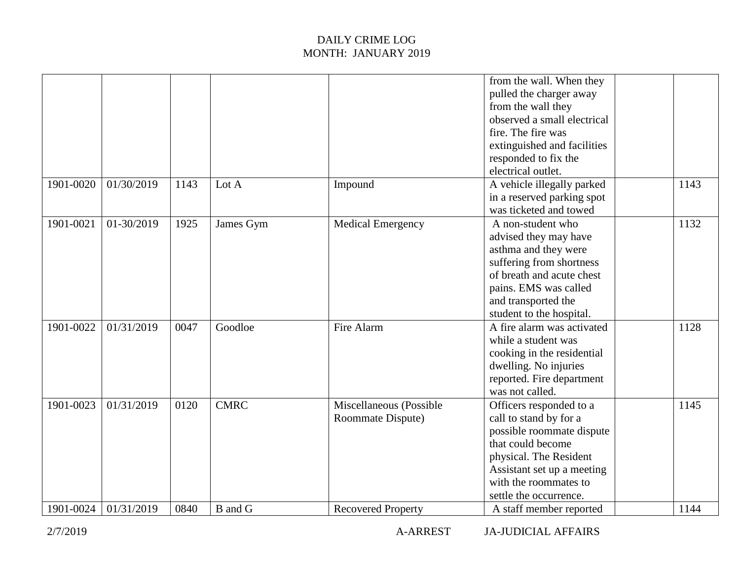|                        |                          |              |                        |                                              | from the wall. When they<br>pulled the charger away<br>from the wall they<br>observed a small electrical<br>fire. The fire was<br>extinguished and facilities<br>responded to fix the<br>electrical outlet.    |              |  |
|------------------------|--------------------------|--------------|------------------------|----------------------------------------------|----------------------------------------------------------------------------------------------------------------------------------------------------------------------------------------------------------------|--------------|--|
| 1901-0020              | 01/30/2019               | 1143         | Lot A                  | Impound                                      | A vehicle illegally parked<br>in a reserved parking spot<br>was ticketed and towed                                                                                                                             | 1143         |  |
| 1901-0021              | 01-30/2019               | 1925         | James Gym              | <b>Medical Emergency</b>                     | A non-student who<br>advised they may have<br>asthma and they were<br>suffering from shortness<br>of breath and acute chest<br>pains. EMS was called<br>and transported the<br>student to the hospital.        | 1132         |  |
| 1901-0022              | 01/31/2019               | 0047         | Goodloe                | Fire Alarm                                   | A fire alarm was activated<br>while a student was<br>cooking in the residential<br>dwelling. No injuries<br>reported. Fire department<br>was not called.                                                       | 1128         |  |
| 1901-0023<br>1901-0024 | 01/31/2019<br>01/31/2019 | 0120<br>0840 | <b>CMRC</b><br>B and G | Miscellaneous (Possible<br>Roommate Dispute) | Officers responded to a<br>call to stand by for a<br>possible roommate dispute<br>that could become<br>physical. The Resident<br>Assistant set up a meeting<br>with the roommates to<br>settle the occurrence. | 1145<br>1144 |  |
|                        |                          |              |                        | <b>Recovered Property</b>                    | A staff member reported                                                                                                                                                                                        |              |  |

2/7/2019 A-ARREST JA-JUDICIAL AFFAIRS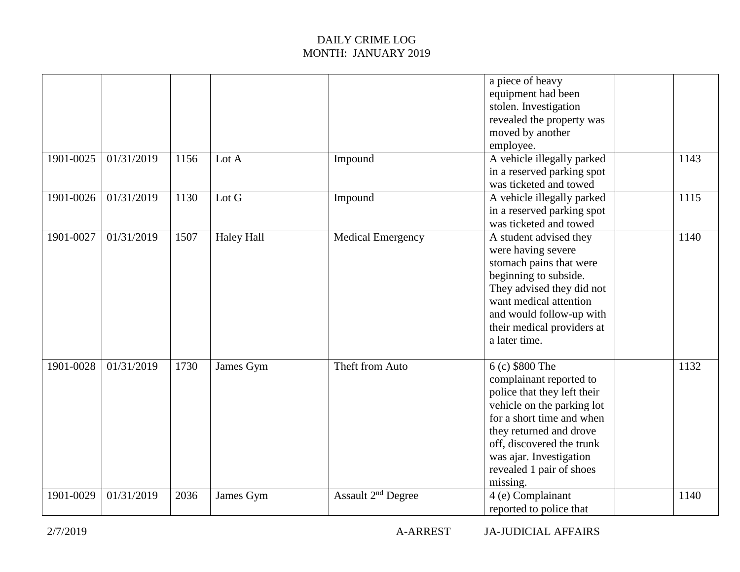|           |            |      |                   |                                | a piece of heavy<br>equipment had been<br>stolen. Investigation<br>revealed the property was<br>moved by another<br>employee.                                                                                                                                   |      |  |
|-----------|------------|------|-------------------|--------------------------------|-----------------------------------------------------------------------------------------------------------------------------------------------------------------------------------------------------------------------------------------------------------------|------|--|
| 1901-0025 | 01/31/2019 | 1156 | Lot A             | Impound                        | A vehicle illegally parked<br>in a reserved parking spot<br>was ticketed and towed                                                                                                                                                                              | 1143 |  |
| 1901-0026 | 01/31/2019 | 1130 | Lot G             | Impound                        | A vehicle illegally parked<br>in a reserved parking spot<br>was ticketed and towed                                                                                                                                                                              | 1115 |  |
| 1901-0027 | 01/31/2019 | 1507 | <b>Haley Hall</b> | <b>Medical Emergency</b>       | A student advised they<br>were having severe<br>stomach pains that were<br>beginning to subside.<br>They advised they did not<br>want medical attention<br>and would follow-up with<br>their medical providers at<br>a later time.                              | 1140 |  |
| 1901-0028 | 01/31/2019 | 1730 | James Gym         | Theft from Auto                | 6 (c) \$800 The<br>complainant reported to<br>police that they left their<br>vehicle on the parking lot<br>for a short time and when<br>they returned and drove<br>off, discovered the trunk<br>was ajar. Investigation<br>revealed 1 pair of shoes<br>missing. | 1132 |  |
| 1901-0029 | 01/31/2019 | 2036 | James Gym         | Assault 2 <sup>nd</sup> Degree | 4 (e) Complainant<br>reported to police that                                                                                                                                                                                                                    | 1140 |  |